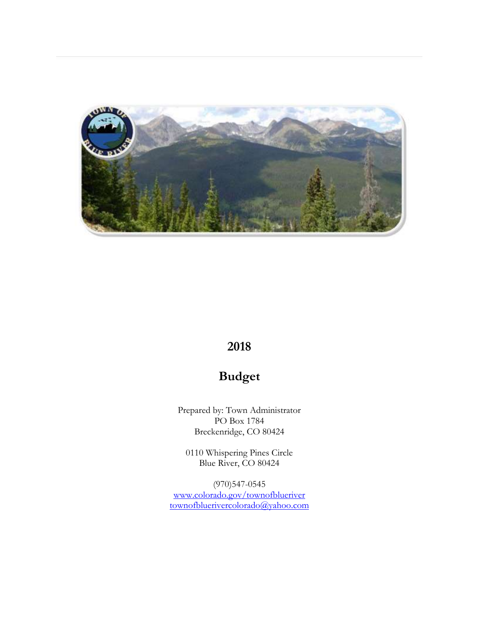

# **2018**

# **Budget**

Prepared by: Town Administrator PO Box 1784 Breckenridge, CO 80424

0110 Whispering Pines Circle Blue River, CO 80424

(970)547-0545 [www.colorado.gov/townofblueriver](http://www.colorado.gov/townofblueriver) [townofbluerivercolorado@yahoo.com](mailto:townofbluerivercolorado@yahoo.com)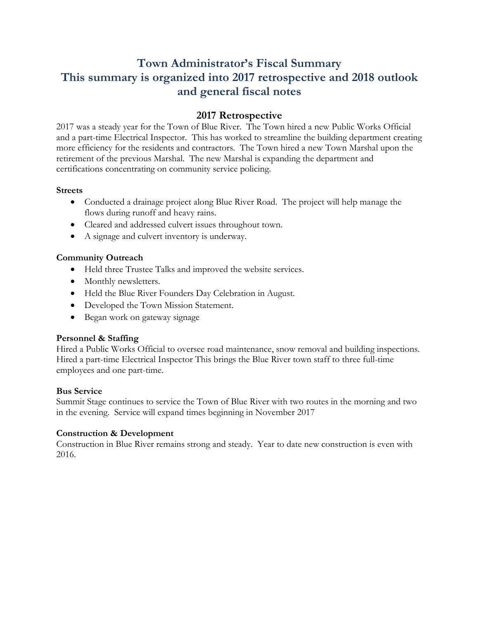# **Town Administrator's Fiscal Summary This summary is organized into 2017 retrospective and 2018 outlook and general fiscal notes**

# **2017 Retrospective**

2017 was a steady year for the Town of Blue River. The Town hired a new Public Works Official and a part-time Electrical Inspector. This has worked to streamline the building department creating more efficiency for the residents and contractors. The Town hired a new Town Marshal upon the retirement of the previous Marshal. The new Marshal is expanding the department and certifications concentrating on community service policing.

### **Streets**

- Conducted a drainage project along Blue River Road. The project will help manage the flows during runoff and heavy rains.
- Cleared and addressed culvert issues throughout town.
- A signage and culvert inventory is underway.

### **Community Outreach**

- Held three Trustee Talks and improved the website services.
- Monthly newsletters.
- Held the Blue River Founders Day Celebration in August.
- Developed the Town Mission Statement.
- Began work on gateway signage

#### **Personnel & Staffing**

Hired a Public Works Official to oversee road maintenance, snow removal and building inspections. Hired a part-time Electrical Inspector This brings the Blue River town staff to three full-time employees and one part-time.

#### **Bus Service**

Summit Stage continues to service the Town of Blue River with two routes in the morning and two in the evening. Service will expand times beginning in November 2017

## **Construction & Development**

Construction in Blue River remains strong and steady. Year to date new construction is even with 2016.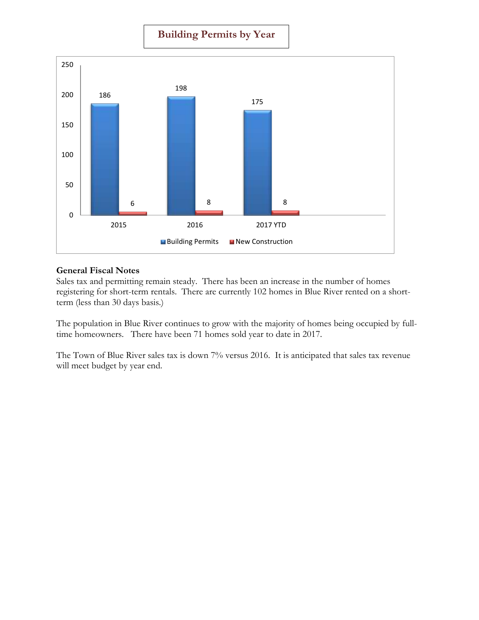## **Building Permits by Year**



#### **General Fiscal Notes**

Sales tax and permitting remain steady. There has been an increase in the number of homes registering for short-term rentals. There are currently 102 homes in Blue River rented on a shortterm (less than 30 days basis.)

The population in Blue River continues to grow with the majority of homes being occupied by fulltime homeowners. There have been 71 homes sold year to date in 2017.

The Town of Blue River sales tax is down 7% versus 2016. It is anticipated that sales tax revenue will meet budget by year end.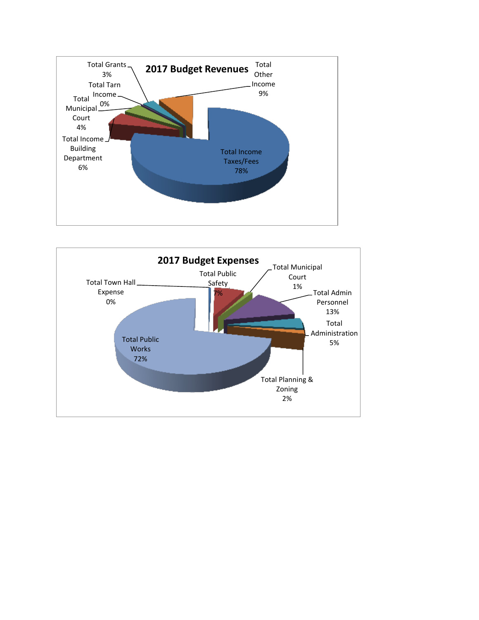

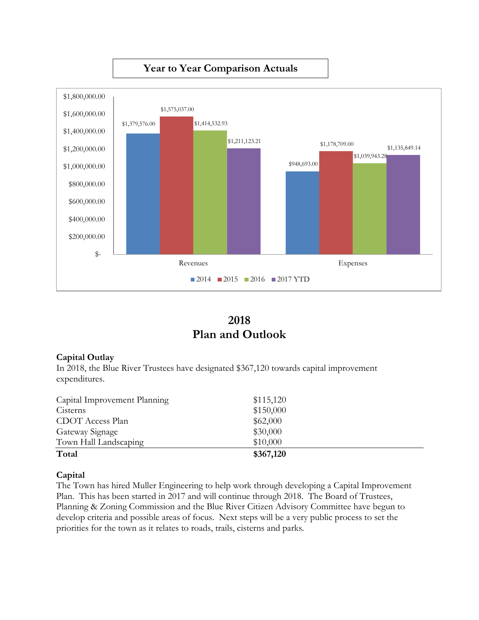

# **2018 Plan and Outlook**

## **Capital Outlay**

In 2018, the Blue River Trustees have designated \$367,120 towards capital improvement expenditures.

| Capital Improvement Planning | \$115,120 |  |
|------------------------------|-----------|--|
| Cisterns                     | \$150,000 |  |
| CDOT Access Plan             | \$62,000  |  |
| Gateway Signage              | \$30,000  |  |
| Town Hall Landscaping        | \$10,000  |  |
| Total                        | \$367,120 |  |

## **Capital**

The Town has hired Muller Engineering to help work through developing a Capital Improvement Plan. This has been started in 2017 and will continue through 2018. The Board of Trustees, Planning & Zoning Commission and the Blue River Citizen Advisory Committee have begun to develop criteria and possible areas of focus. Next steps will be a very public process to set the priorities for the town as it relates to roads, trails, cisterns and parks.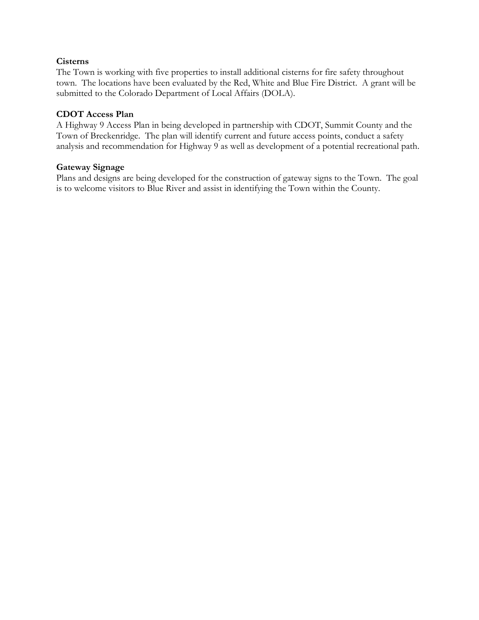#### **Cisterns**

The Town is working with five properties to install additional cisterns for fire safety throughout town. The locations have been evaluated by the Red, White and Blue Fire District. A grant will be submitted to the Colorado Department of Local Affairs (DOLA).

#### **CDOT Access Plan**

A Highway 9 Access Plan in being developed in partnership with CDOT, Summit County and the Town of Breckenridge. The plan will identify current and future access points, conduct a safety analysis and recommendation for Highway 9 as well as development of a potential recreational path.

#### **Gateway Signage**

Plans and designs are being developed for the construction of gateway signs to the Town. The goal is to welcome visitors to Blue River and assist in identifying the Town within the County.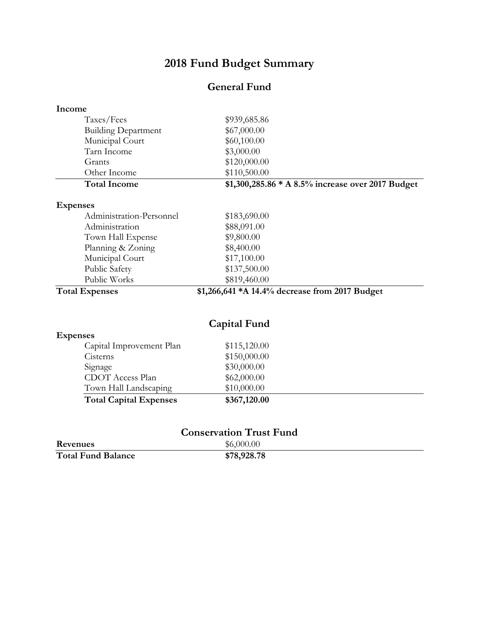# **2018 Fund Budget Summary**

# **General Fund**

| Income                         |                                                   |  |
|--------------------------------|---------------------------------------------------|--|
| Taxes/Fees                     | \$939,685.86                                      |  |
| <b>Building Department</b>     | \$67,000.00                                       |  |
| Municipal Court                | \$60,100.00                                       |  |
| Tarn Income                    | \$3,000.00                                        |  |
| Grants                         | \$120,000.00                                      |  |
| Other Income                   | \$110,500.00                                      |  |
| <b>Total Income</b>            | \$1,300,285.86 * A 8.5% increase over 2017 Budget |  |
| <b>Expenses</b>                |                                                   |  |
| Administration-Personnel       | \$183,690.00                                      |  |
| Administration                 | \$88,091.00                                       |  |
| Town Hall Expense              | \$9,800.00                                        |  |
| Planning & Zoning              | \$8,400.00                                        |  |
| Municipal Court                | \$17,100.00                                       |  |
| Public Safety                  | \$137,500.00                                      |  |
| Public Works                   | \$819,460.00                                      |  |
| <b>Total Expenses</b>          | \$1,266,641 *A 14.4% decrease from 2017 Budget    |  |
|                                | <b>Capital Fund</b>                               |  |
| <b>Expenses</b>                |                                                   |  |
| Capital Improvement Plan       | \$115,120.00                                      |  |
| Cisterns                       | \$150,000.00                                      |  |
| Signage                        | \$30,000.00                                       |  |
| <b>CDOT</b> Access Plan        | \$62,000.00                                       |  |
| Town Hall Landscaping          | \$10,000.00                                       |  |
| <b>Total Capital Expenses</b>  | \$367,120.00                                      |  |
| <b>Conservation Trust Fund</b> |                                                   |  |
| Revenues                       | \$6,000.00                                        |  |

|                           | .           |
|---------------------------|-------------|
| <b>Total Fund Balance</b> | \$78,928.78 |